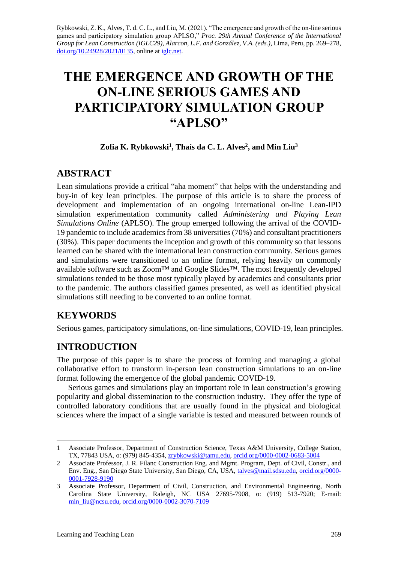Rybkowski, Z. K., Alves, T. d. C. L., and Liu, M. (2021). "The emergence and growth of the on-line serious games and participatory simulation group APLSO," *Proc. 29th Annual Conference of the International Group for Lean Construction (IGLC29), Alarcon, L.F. and González, V.A. (eds.)*, Lima, Peru, pp. 269–278, [doi.org/10.24928/2021/0135,](https://doi.org/10.24928/2021/0135) online a[t iglc.net.](http://iglc.net/)

# **THE EMERGENCE AND GROWTH OF THE ON-LINE SERIOUS GAMES AND PARTICIPATORY SIMULATION GROUP "APLSO"**

#### **Zofia K. Rybkowski<sup>1</sup> , Thaís da C. L. Alves<sup>2</sup> , and Min Liu<sup>3</sup>**

## **ABSTRACT**

Lean simulations provide a critical "aha moment" that helps with the understanding and buy-in of key lean principles. The purpose of this article is to share the process of development and implementation of an ongoing international on-line Lean-IPD simulation experimentation community called *Administering and Playing Lean Simulations Online* (APLSO). The group emerged following the arrival of the COVID-19 pandemic to include academicsfrom 38 universities(70%) and consultant practitioners (30%). This paper documents the inception and growth of this community so that lessons learned can be shared with the international lean construction community. Serious games and simulations were transitioned to an online format, relying heavily on commonly available software such as Zoom™ and Google Slides™. The most frequently developed simulations tended to be those most typically played by academics and consultants prior to the pandemic. The authors classified games presented, as well as identified physical simulations still needing to be converted to an online format.

## **KEYWORDS**

Serious games, participatory simulations, on-line simulations, COVID-19, lean principles.

## **INTRODUCTION**

The purpose of this paper is to share the process of forming and managing a global collaborative effort to transform in-person lean construction simulations to an on-line format following the emergence of the global pandemic COVID-19.

Serious games and simulations play an important role in lean construction's growing popularity and global dissemination to the construction industry. They offer the type of controlled laboratory conditions that are usually found in the physical and biological sciences where the impact of a single variable is tested and measured between rounds of

<sup>1</sup> Associate Professor, Department of Construction Science, Texas A&M University, College Station, TX, 77843 USA, o: (979) 845-4354, [zrybkowski@tamu.edu,](mailto:zrybkowski@tamu.edu) [orcid.org/0000-0002-0683-5004](https://orcid.org/0000-0002-0683-5004)

<sup>2</sup> Associate Professor, J. R. Filanc Construction Eng. and Mgmt. Program, Dept. of Civil, Constr., and Env. Eng., San Diego State University, San Diego, CA, USA, [talves@mail.sdsu.edu,](mailto:talves@mail.sdsu.edu) [orcid.org/0000-](https://orcid.org/0000-0001-7928-9190) [0001-7928-9190](https://orcid.org/0000-0001-7928-9190)

<sup>3</sup> Associate Professor, Department of Civil, Construction, and Environmental Engineering, North Carolina State University, Raleigh, NC USA 27695-7908, o: (919) 513-7920; E-mail: [min\\_liu@ncsu.edu,](mailto:min_liu@ncsu.edu) [orcid.org/0000-0002-3070-7109](https://orcid.org/0000-0002-3070-7109)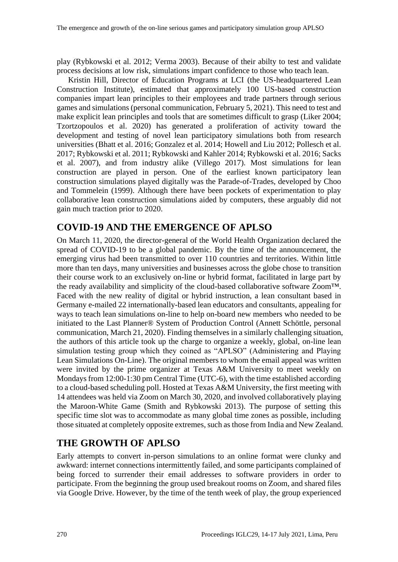play (Rybkowski et al. 2012; Verma 2003). Because of their abilty to test and validate process decisions at low risk, simulations impart confidence to those who teach lean.

Kristin Hill, Director of Education Programs at LCI (the US-headquartered Lean Construction Institute), estimated that approximately 100 US-based construction companies impart lean principles to their employees and trade partners through serious games and simulations (personal communication, February 5, 2021). This need to test and make explicit lean principles and tools that are sometimes difficult to grasp (Liker 2004; Tzortzopoulos et al. 2020) has generated a proliferation of activity toward the development and testing of novel lean participatory simulations both from research universities (Bhatt et al. 2016; Gonzalez et al. 2014; Howell and Liu 2012; Pollesch et al. 2017; Rybkowski et al. 2011; Rybkowski and Kahler 2014; Rybkowski et al. 2016; Sacks et al. 2007), and from industry alike (Villego 2017). Most simulations for lean construction are played in person. One of the earliest known participatory lean construction simulations played digitally was the Parade-of-Trades, developed by Choo and Tommelein (1999). Although there have been pockets of experimentation to play collaborative lean construction simulations aided by computers, these arguably did not gain much traction prior to 2020.

## **COVID-19 AND THE EMERGENCE OF APLSO**

On March 11, 2020, the director-general of the World Health Organization declared the spread of COVID-19 to be a global pandemic. By the time of the announcement, the emerging virus had been transmitted to over 110 countries and territories. Within little more than ten days, many universities and businesses across the globe chose to transition their course work to an exclusively on-line or hybrid format, facilitated in large part by the ready availability and simplicity of the cloud-based collaborative software Zoom™. Faced with the new reality of digital or hybrid instruction, a lean consultant based in Germany e-mailed 22 internationally-based lean educators and consultants, appealing for ways to teach lean simulations on-line to help on-board new members who needed to be initiated to the Last Planner® System of Production Control (Annett Schöttle, personal communication, March 21, 2020). Finding themselves in a similarly challenging situation, the authors of this article took up the charge to organize a weekly, global, on-line lean simulation testing group which they coined as "APLSO" (Administering and Playing Lean Simulations On-Line). The original members to whom the email appeal was written were invited by the prime organizer at Texas A&M University to meet weekly on Mondays from 12:00-1:30 pm Central Time (UTC-6), with the time established according to a cloud-based scheduling poll. Hosted at Texas A&M University, the first meeting with 14 attendees was held via Zoom on March 30, 2020, and involved collaboratively playing the Maroon-White Game (Smith and Rybkowski 2013). The purpose of setting this specific time slot was to accommodate as many global time zones as possible, including those situated at completely opposite extremes, such asthose from India and New Zealand.

## **THE GROWTH OF APLSO**

Early attempts to convert in-person simulations to an online format were clunky and awkward: internet connections intermittently failed, and some participants complained of being forced to surrender their email addresses to software providers in order to participate. From the beginning the group used breakout rooms on Zoom, and shared files via Google Drive. However, by the time of the tenth week of play, the group experienced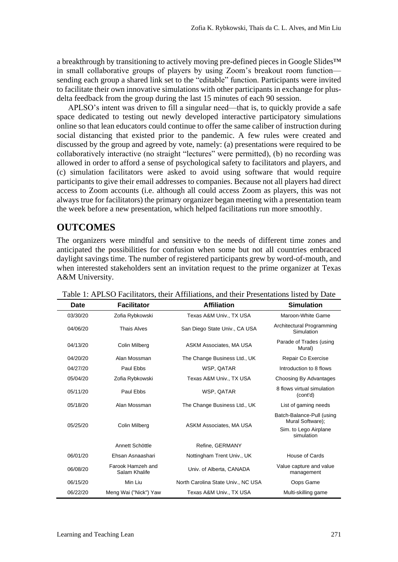a breakthrough by transitioning to actively moving pre-defined pieces in Google Slides™ in small collaborative groups of players by using Zoom's breakout room function sending each group a shared link set to the "editable" function. Participants were invited to facilitate their own innovative simulations with other participants in exchange for plusdelta feedback from the group during the last 15 minutes of each 90 session.

APLSO's intent was driven to fill a singular need—that is, to quickly provide a safe space dedicated to testing out newly developed interactive participatory simulations online so that lean educators could continue to offer the same caliber of instruction during social distancing that existed prior to the pandemic. A few rules were created and discussed by the group and agreed by vote, namely: (a) presentations were required to be collaboratively interactive (no straight "lectures" were permitted), (b) no recording was allowed in order to afford a sense of psychological safety to facilitators and players, and (c) simulation facilitators were asked to avoid using software that would require participants to give their email addresses to companies. Because not all players had direct access to Zoom accounts (i.e. although all could access Zoom as players, this was not always true for facilitators) the primary organizer began meeting with a presentation team the week before a new presentation, which helped facilitations run more smoothly.

## **OUTCOMES**

The organizers were mindful and sensitive to the needs of different time zones and anticipated the possibilities for confusion when some but not all countries embraced daylight savings time. The number of registered participants grew by word-of-mouth, and when interested stakeholders sent an invitation request to the prime organizer at Texas A&M University.

| Date     | <b>Facilitator</b>                 | <b>Affiliation</b>                 | <b>Simulation</b>                             |  |
|----------|------------------------------------|------------------------------------|-----------------------------------------------|--|
| 03/30/20 | Zofia Rybkowski                    | Texas A&M Univ., TX USA            | Maroon-White Game                             |  |
| 04/06/20 | <b>Thais Alves</b>                 | San Diego State Univ., CA USA      | Architectural Programming<br>Simulation       |  |
| 04/13/20 | Colin Milberg                      | ASKM Associates, MA USA            | Parade of Trades (using<br>Mural)             |  |
| 04/20/20 | Alan Mossman                       | The Change Business Ltd., UK       | Repair Co Exercise                            |  |
| 04/27/20 | Paul Ebbs                          | WSP, QATAR                         | Introduction to 8 flows                       |  |
| 05/04/20 | Zofia Rybkowski                    | Texas A&M Univ., TX USA            | Choosing By Advantages                        |  |
| 05/11/20 | Paul Ebbs                          | WSP, QATAR                         | 8 flows virtual simulation<br>(cont'd)        |  |
| 05/18/20 | Alan Mossman                       | The Change Business Ltd., UK       | List of gaming needs                          |  |
| 05/25/20 |                                    |                                    | Batch-Balance-Pull (using<br>Mural Software); |  |
|          | Colin Milberg                      | ASKM Associates, MA USA            | Sim. to Lego Airplane<br>simulation           |  |
|          | Annett Schöttle                    | Refine, GERMANY                    |                                               |  |
| 06/01/20 | Ehsan Asnaashari                   | Nottingham Trent Univ., UK         | House of Cards                                |  |
| 06/08/20 | Farook Hamzeh and<br>Salam Khalife | Univ. of Alberta, CANADA           | Value capture and value<br>management         |  |
| 06/15/20 | Min Liu                            | North Carolina State Univ., NC USA | Oops Game                                     |  |
| 06/22/20 | Meng Wai ("Nick") Yaw              | Texas A&M Univ., TX USA            | Multi-skilling game                           |  |

Table 1: APLSO Facilitators, their Affiliations, and their Presentations listed by Date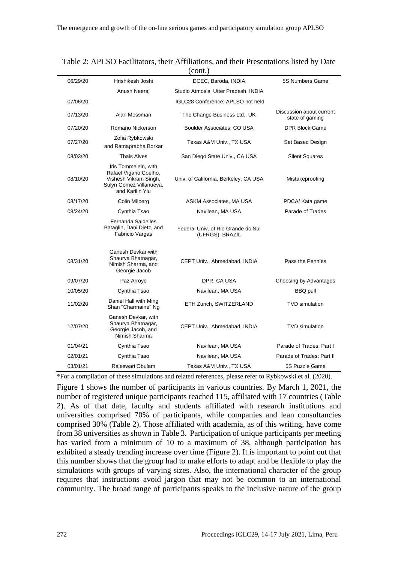| (cont.)  |                                                                                                                       |                                                       |                                             |  |  |  |  |  |
|----------|-----------------------------------------------------------------------------------------------------------------------|-------------------------------------------------------|---------------------------------------------|--|--|--|--|--|
| 06/29/20 | Hrishikesh Joshi                                                                                                      | DCEC, Baroda, INDIA                                   | 5S Numbers Game                             |  |  |  |  |  |
|          | Anush Neerai                                                                                                          | Studio Atmosis, Utter Pradesh, INDIA                  |                                             |  |  |  |  |  |
| 07/06/20 |                                                                                                                       | IGLC28 Conference: APLSO not held                     |                                             |  |  |  |  |  |
| 07/13/20 | Alan Mossman                                                                                                          | The Change Business Ltd., UK                          | Discussion about current<br>state of gaming |  |  |  |  |  |
| 07/20/20 | Romano Nickerson                                                                                                      | Boulder Associates, CO USA                            | <b>DPR Block Game</b>                       |  |  |  |  |  |
| 07/27/20 | Zofia Rybkowski<br>and Ratnaprabha Borkar                                                                             | Texas A&M Univ., TX USA                               | Set Based Design                            |  |  |  |  |  |
| 08/03/20 | <b>Thais Alves</b>                                                                                                    | San Diego State Univ., CA USA                         | <b>Silent Squares</b>                       |  |  |  |  |  |
| 08/10/20 | Iris Tommelein, with<br>Rafael Vigario Coelho,<br>Vishesh Vikram Singh,<br>Sulyn Gomez Villanueva,<br>and Karilin Yiu | Univ. of California, Berkeley, CA USA                 | Mistakeproofing                             |  |  |  |  |  |
| 08/17/20 | Colin Milberg                                                                                                         | ASKM Associates, MA USA                               | PDCA/ Kata game                             |  |  |  |  |  |
| 08/24/20 | Cynthia Tsao                                                                                                          | Navilean, MA USA                                      | Parade of Trades                            |  |  |  |  |  |
|          | Fernanda Saidelles<br>Bataglin, Dani Dietz, and<br>Fabricio Vargas                                                    | Federal Univ. of Rio Grande do Sul<br>(UFRGS), BRAZIL |                                             |  |  |  |  |  |
| 08/31/20 | Ganesh Devkar with<br>Shaurya Bhatnagar,<br>Nimish Sharma, and<br>Georgie Jacob                                       | CEPT Univ., Ahmedabad, INDIA                          | Pass the Pennies                            |  |  |  |  |  |
| 09/07/20 | Paz Arroyo                                                                                                            | DPR, CA USA                                           | Choosing by Advantages                      |  |  |  |  |  |
| 10/05/20 | Cynthia Tsao                                                                                                          | Navilean, MA USA                                      | <b>BBQ pull</b>                             |  |  |  |  |  |
| 11/02/20 | Daniel Hall with Ming<br>Shan "Charmaine" Ng                                                                          | ETH Zurich, SWITZERLAND                               | <b>TVD</b> simulation                       |  |  |  |  |  |
| 12/07/20 | Ganesh Devkar, with<br>Shaurya Bhatnagar,<br>Georgie Jacob, and<br>Nimish Sharma                                      | CEPT Univ., Ahmedabad, INDIA                          | <b>TVD</b> simulation                       |  |  |  |  |  |
| 01/04/21 | Cynthia Tsao                                                                                                          | Navilean, MA USA                                      | Parade of Trades: Part I                    |  |  |  |  |  |
| 02/01/21 | Cynthia Tsao                                                                                                          | Navilean, MA USA                                      | Parade of Trades: Part II                   |  |  |  |  |  |
| 03/01/21 | Rajeswari Obulam                                                                                                      | Texas A&M Univ., TX USA                               | 5S Puzzle Game                              |  |  |  |  |  |

|  |  |             |  | Table 2: APLSO Facilitators, their Affiliations, and their Presentations listed by Date |  |  |
|--|--|-------------|--|-----------------------------------------------------------------------------------------|--|--|
|  |  | $\ell = -1$ |  |                                                                                         |  |  |

\*For a compilation of these simulations and related references, please refer to Rybkowski et al. (2020).

Figure 1 shows the number of participants in various countries. By March 1, 2021, the number of registered unique participants reached 115, affiliated with 17 countries (Table 2). As of that date, faculty and students affiliated with research institutions and universities comprised 70% of participants, while companies and lean consultancies comprised 30% (Table 2). Those affiliated with academia, as of this writing, have come from 38 universities as shown in Table 3. Participation of unique participants per meeting has varied from a minimum of 10 to a maximum of 38, although participation has exhibited a steady trending increase over time (Figure 2). It is important to point out that this number shows that the group had to make efforts to adapt and be flexible to play the simulations with groups of varying sizes. Also, the international character of the group requires that instructions avoid jargon that may not be common to an international community. The broad range of participants speaks to the inclusive nature of the group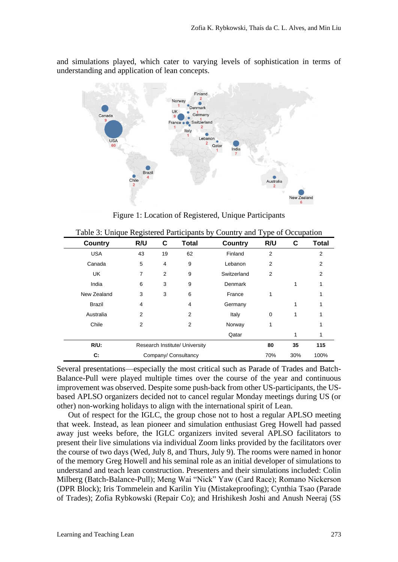and simulations played, which cater to varying levels of sophistication in terms of understanding and application of lean concepts.



Figure 1: Location of Registered, Unique Participants

| <b>Country</b> | R/U                            | C              | <b>Total</b> | <b>Country</b> | R/U            | С   | <b>Total</b>   |
|----------------|--------------------------------|----------------|--------------|----------------|----------------|-----|----------------|
| <b>USA</b>     | 43                             | 19             | 62           | Finland        | $\overline{2}$ |     | $\overline{2}$ |
| Canada         | 5                              | 4              | 9            | Lebanon        | 2              |     | $\overline{2}$ |
| <b>UK</b>      | 7                              | $\overline{2}$ | 9            | Switzerland    | $\overline{2}$ |     | 2              |
| India          | 6                              | 3              | 9            | Denmark        |                | 1   | 1              |
| New Zealand    | 3                              | 3              | 6            | France         |                |     | 1              |
| <b>Brazil</b>  | 4                              |                | 4            | Germany        |                | 1   | 1              |
| Australia      | $\overline{2}$                 |                | 2            | Italy          | 0              | 1   | 1              |
| Chile          | 2                              |                | 2            | Norway         |                |     | 1              |
|                |                                |                |              | Qatar          |                | 1   | 1              |
| $R/U$ :        | Research Institute/ University |                |              |                | 80             | 35  | 115            |
| C:             | Company/ Consultancy           |                |              |                | 70%            | 30% | 100%           |

Table 3: Unique Registered Participants by Country and Type of Occupation

Several presentations—especially the most critical such as Parade of Trades and Batch-Balance-Pull were played multiple times over the course of the year and continuous improvement was observed. Despite some push-back from other US-participants, the USbased APLSO organizers decided not to cancel regular Monday meetings during US (or other) non-working holidays to align with the international spirit of Lean.

Out of respect for the IGLC, the group chose not to host a regular APLSO meeting that week. Instead, as lean pioneer and simulation enthusiast Greg Howell had passed away just weeks before, the IGLC organizers invited several APLSO facilitators to present their live simulations via individual Zoom links provided by the facilitators over the course of two days (Wed, July 8, and Thurs, July 9). The rooms were named in honor of the memory Greg Howell and his seminal role as an initial developer of simulations to understand and teach lean construction. Presenters and their simulations included: Colin Milberg (Batch-Balance-Pull); Meng Wai "Nick" Yaw (Card Race); Romano Nickerson (DPR Block); Iris Tommelein and Karilin Yiu (Mistakeproofing); Cynthia Tsao (Parade of Trades); Zofia Rybkowski (Repair Co); and Hrishikesh Joshi and Anush Neeraj (5S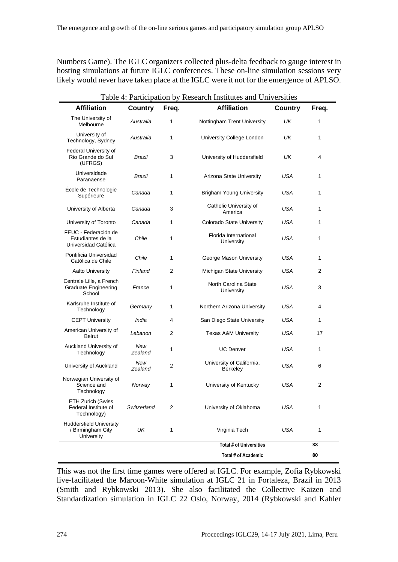Numbers Game). The IGLC organizers collected plus-delta feedback to gauge interest in hosting simulations at future IGLC conferences. These on-line simulation sessions very likely would never have taken place at the IGLC were it not for the emergence of APLSO.

| Table 4: Participation by Research Institutes and Universities    |                |       |                                              |                |       |  |  |
|-------------------------------------------------------------------|----------------|-------|----------------------------------------------|----------------|-------|--|--|
| <b>Affiliation</b>                                                | <b>Country</b> | Freq. | <b>Affiliation</b>                           | <b>Country</b> | Freq. |  |  |
| The University of<br>Melbourne                                    | Australia      | 1     | Nottingham Trent University                  | UK             | 1     |  |  |
| University of<br>Technology, Sydney                               | Australia      | 1     | University College London                    | UK             | 1     |  |  |
| Federal University of<br>Rio Grande do Sul<br>(UFRGS)             | Brazil         | 3     | University of Huddersfield                   | UK             | 4     |  |  |
| Universidade<br>Paranaense                                        | Brazil         | 1     | Arizona State University                     | USA            | 1     |  |  |
| École de Technologie<br>Supérieure                                | Canada         | 1     | <b>Brigham Young University</b>              | USA            | 1     |  |  |
| University of Alberta                                             | Canada         | 3     | Catholic University of<br>America            | USA            | 1     |  |  |
| University of Toronto                                             | Canada         | 1     | <b>Colorado State University</b>             | USA            | 1     |  |  |
| FEUC - Federación de<br>Estudiantes de la<br>Universidad Católica | Chile          | 1     | Florida International<br>University          | USA            | 1     |  |  |
| Pontificia Universidad<br>Católica de Chile                       | Chile          | 1     | George Mason University                      | USA            | 1     |  |  |
| <b>Aalto University</b>                                           | Finland        | 2     | Michigan State University                    | USA            | 2     |  |  |
| Centrale Lille, a French<br><b>Graduate Engineering</b><br>School | France         | 1     | North Carolina State<br>University           | USA            | 3     |  |  |
| Karlsruhe Institute of<br>Technology                              | Germany        | 1     | Northern Arizona University                  | USA            | 4     |  |  |
| <b>CEPT University</b>                                            | India          | 4     | San Diego State University                   | USA            | 1     |  |  |
| American University of<br>Beirut                                  | Lebanon        | 2     | <b>Texas A&amp;M University</b>              | USA            | 17    |  |  |
| Auckland University of<br>Technology                              | New<br>Zealand | 1     | <b>UC Denver</b>                             | USA            | 1     |  |  |
| University of Auckland                                            | New<br>Zealand | 2     | University of California,<br><b>Berkeley</b> | USA            | 6     |  |  |
| Norwegian University of<br>Science and<br>Technology              | Norway         | 1     | University of Kentucky                       | USA            | 2     |  |  |
| <b>ETH Zurich (Swiss</b><br>Federal Institute of<br>Technology)   | Switzerland    | 2     | University of Oklahoma                       | USA            | 1     |  |  |
| <b>Huddersfield University</b><br>/ Birmingham City<br>University | UK             | 1     | Virginia Tech                                | USA            | 1     |  |  |
|                                                                   |                |       | <b>Total # of Universities</b>               |                | 38    |  |  |
|                                                                   |                |       | <b>Total # of Academic</b>                   |                | 80    |  |  |

This was not the first time games were offered at IGLC. For example, Zofia Rybkowski live-facilitated the Maroon-White simulation at IGLC 21 in Fortaleza, Brazil in 2013 (Smith and Rybkowski 2013). She also facilitated the Collective Kaizen and Standardization simulation in IGLC 22 Oslo, Norway, 2014 (Rybkowski and Kahler

| 274 | Proceedings IGLC29, 14-17 July 2021, Lima, Peru |
|-----|-------------------------------------------------|
|-----|-------------------------------------------------|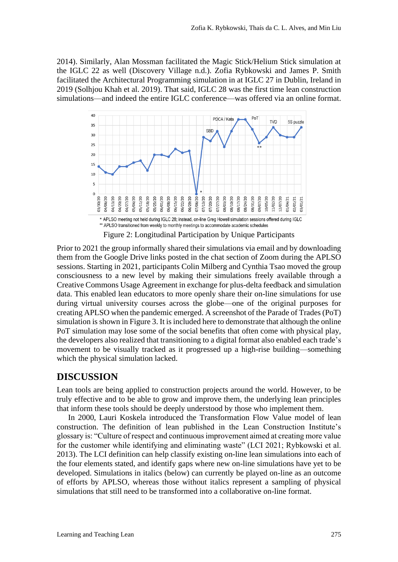2014). Similarly, Alan Mossman facilitated the Magic Stick/Helium Stick simulation at the IGLC 22 as well (Discovery Village n.d.). Zofia Rybkowski and James P. Smith facilitated the Architectural Programming simulation in at IGLC 27 in Dublin, Ireland in 2019 (Solhjou Khah et al. 2019). That said, IGLC 28 was the first time lean construction simulations—and indeed the entire IGLC conference—was offered via an online format.



Figure 2: Longitudinal Participation by Unique Participants

Prior to 2021 the group informally shared their simulations via email and by downloading them from the Google Drive links posted in the chat section of Zoom during the APLSO sessions. Starting in 2021, participants Colin Milberg and Cynthia Tsao moved the group consciousness to a new level by making their simulations freely available through a Creative Commons Usage Agreement in exchange for plus-delta feedback and simulation data. This enabled lean educators to more openly share their on-line simulations for use during virtual university courses across the globe—one of the original purposes for creating APLSO when the pandemic emerged. A screenshot of the Parade of Trades (PoT) simulation is shown in Figure 3. It is included here to demonstrate that although the online PoT simulation may lose some of the social benefits that often come with physical play, the developers also realized that transitioning to a digital format also enabled each trade's movement to be visually tracked as it progressed up a high-rise building—something which the physical simulation lacked.

#### **DISCUSSION**

Lean tools are being applied to construction projects around the world. However, to be truly effective and to be able to grow and improve them, the underlying lean principles that inform these tools should be deeply understood by those who implement them.

In 2000, Lauri Koskela introduced the Transformation Flow Value model of lean construction. The definition of lean published in the Lean Construction Institute's glossary is: "Culture of respect and continuous improvement aimed at creating more value for the customer while identifying and eliminating waste" (LCI 2021; Rybkowski et al. 2013). The LCI definition can help classify existing on-line lean simulations into each of the four elements stated, and identify gaps where new on-line simulations have yet to be developed. Simulations in italics (below) can currently be played on-line as an outcome of efforts by APLSO, whereas those without italics represent a sampling of physical simulations that still need to be transformed into a collaborative on-line format.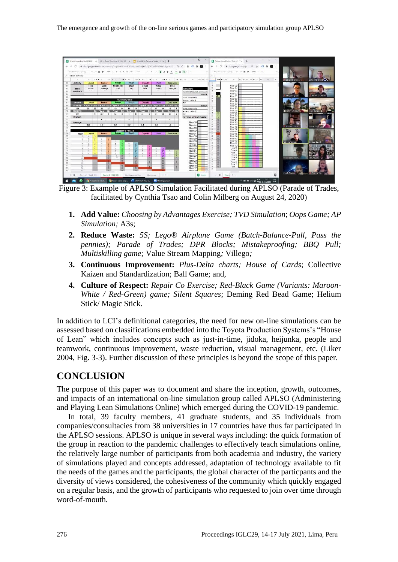

Figure 3: Example of APLSO Simulation Facilitated during APLSO (Parade of Trades, facilitated by Cynthia Tsao and Colin Milberg on August 24, 2020)

- **1. Add Value:** *Choosing by Advantages Exercise; TVD Simulation*; *Oops Game; AP Simulation;* A3s;
- **2. Reduce Waste:** *5S; Lego® Airplane Game (Batch-Balance-Pull, Pass the pennies); Parade of Trades; DPR Blocks; Mistakeproofing; BBQ Pull; Multiskilling game;* Value Stream Mapping*;* Villego*;*
- **3. Continuous Improvement:** *Plus-Delta charts; House of Cards*; Collective Kaizen and Standardization; Ball Game; and,
- **4. Culture of Respect:** *Repair Co Exercise; Red-Black Game (Variants: Maroon-White / Red-Green) game; Silent Squares*; Deming Red Bead Game; Helium Stick/ Magic Stick.

In addition to LCI's definitional categories, the need for new on-line simulations can be assessed based on classifications embedded into the Toyota Production Systems's "House of Lean" which includes concepts such as just-in-time, jidoka, heijunka, people and teamwork, continuous improvement, waste reduction, visual management, etc. (Liker 2004, Fig. 3-3). Further discussion of these principles is beyond the scope of this paper.

## **CONCLUSION**

The purpose of this paper was to document and share the inception, growth, outcomes, and impacts of an international on-line simulation group called APLSO (Administering and Playing Lean Simulations Online) which emerged during the COVID-19 pandemic.

In total, 39 faculty members, 41 graduate students, and 35 individuals from companies/consultacies from 38 universities in 17 countries have thus far participated in the APLSO sessions. APLSO is unique in several ways including: the quick formation of the group in reaction to the pandemic challenges to effectively teach simulations online, the relatively large number of participants from both academia and industry, the variety of simulations played and concepts addressed, adaptation of technology available to fit the needs of the games and the participants, the global character of the particpants and the diversity of views considered, the cohesiveness of the community which quickly engaged on a regular basis, and the growth of participants who requested to join over time through word-of-mouth.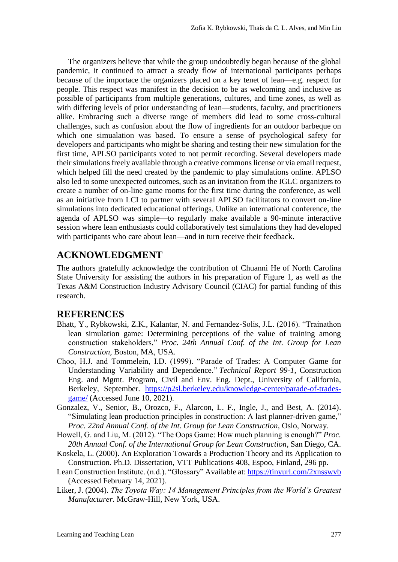The organizers believe that while the group undoubtedly began because of the global pandemic, it continued to attract a steady flow of international participants perhaps because of the importace the organizers placed on a key tenet of lean—e.g. respect for people. This respect was manifest in the decision to be as welcoming and inclusive as possible of participants from multiple generations, cultures, and time zones, as well as with differing levels of prior understanding of lean—students, faculty, and practitioners alike. Embracing such a diverse range of members did lead to some cross-cultural challenges, such as confusion about the flow of ingredients for an outdoor barbeque on which one simualation was based. To ensure a sense of psychological safety for developers and participants who might be sharing and testing their new simulation for the first time, APLSO participants voted to not permit recording. Several developers made their simulations freely available through a creative commons license or via email request, which helped fill the need created by the pandemic to play simulations online. APLSO also led to some unexpected outcomes, such as an invitation from the IGLC organizers to create a number of on-line game rooms for the first time during the conference, as well as an initiative from LCI to partner with several APLSO facilitators to convert on-line simulations into dedicated educational offerings. Unlike an international conference, the agenda of APLSO was simple—to regularly make available a 90-minute interactive session where lean enthusiasts could collaboratively test simulations they had developed with participants who care about lean—and in turn receive their feedback.

## **ACKNOWLEDGMENT**

The authors gratefully acknowledge the contribution of Chuanni He of North Carolina State University for assisting the authors in his preparation of Figure 1, as well as the Texas A&M Construction Industry Advisory Council (CIAC) for partial funding of this research.

#### **REFERENCES**

- Bhatt, Y., Rybkowski, Z.K., Kalantar, N. and Fernandez-Solis, J.L. (2016). "Trainathon lean simulation game: Determining perceptions of the value of training among construction stakeholders," *Proc. 24th Annual Conf. of the Int. Group for Lean Construction*, Boston, MA, USA.
- Choo, H.J. and Tommelein, I.D. (1999). "Parade of Trades: A Computer Game for Understanding Variability and Dependence." *Technical Report 99-1*, Construction Eng. and Mgmt. Program, Civil and Env. Eng. Dept., University of California, Berkeley, September. [https://p2sl.berkeley.edu/knowledge-center/parade-of-trades](https://p2sl.berkeley.edu/knowledge-center/parade-of-trades-game/)[game/](https://p2sl.berkeley.edu/knowledge-center/parade-of-trades-game/) (Accessed June 10, 2021).
- Gonzalez, V., Senior, B., Orozco, F., Alarcon, L. F., Ingle, J., and Best, A. (2014). "Simulating lean production principles in construction: A last planner-driven game," *Proc. 22nd Annual Conf. of the Int. Group for Lean Construction*, Oslo, Norway.
- Howell, G. and Liu, M. (2012). "The Oops Game: How much planning is enough?" *Proc. 20th Annual Conf. of the International Group for Lean Construction*, San Diego, CA.
- Koskela, L. (2000). An Exploration Towards a Production Theory and its Application to Construction. Ph.D. Dissertation, VTT Publications 408, Espoo, Finland, 296 pp.
- Lean Construction Institute. (n.d.). "Glossary" Available at: <https://tinyurl.com/2xnsswvb> (Accessed February 14, 2021).
- Liker, J. (2004). *The Toyota Way: 14 Management Principles from the World's Greatest Manufacturer*. McGraw-Hill, New York, USA.